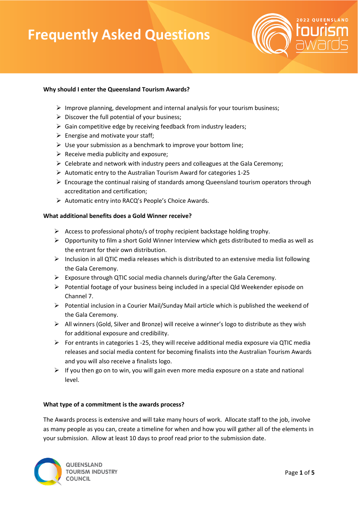

## **Why should I enter the Queensland Tourism Awards?**

- $\triangleright$  Improve planning, development and internal analysis for your tourism business;
- $\triangleright$  Discover the full potential of your business;
- $\triangleright$  Gain competitive edge by receiving feedback from industry leaders;
- $\triangleright$  Energise and motivate your staff;
- $\triangleright$  Use your submission as a benchmark to improve your bottom line;
- $\triangleright$  Receive media publicity and exposure;
- $\triangleright$  Celebrate and network with industry peers and colleagues at the Gala Ceremony;
- ➢ Automatic entry to the Australian Tourism Award for categories 1-25
- ➢ Encourage the continual raising of standards among Queensland tourism operators through accreditation and certification;
- ➢ Automatic entry into RACQ's People's Choice Awards.

## **What additional benefits does a Gold Winner receive?**

- ➢ Access to professional photo/s of trophy recipient backstage holding trophy.
- $\triangleright$  Opportunity to film a short Gold Winner Interview which gets distributed to media as well as the entrant for their own distribution.
- ➢ Inclusion in all QTIC media releases which is distributed to an extensive media list following the Gala Ceremony.
- $\triangleright$  Exposure through QTIC social media channels during/after the Gala Ceremony.
- ➢ Potential footage of your business being included in a special Qld Weekender episode on Channel 7.
- ➢ Potential inclusion in a Courier Mail/Sunday Mail article which is published the weekend of the Gala Ceremony.
- ➢ All winners (Gold, Silver and Bronze) will receive a winner's logo to distribute as they wish for additional exposure and credibility.
- $\triangleright$  For entrants in categories 1 -25, they will receive additional media exposure via QTIC media releases and social media content for becoming finalists into the Australian Tourism Awards and you will also receive a finalists logo.
- $\triangleright$  If you then go on to win, you will gain even more media exposure on a state and national level.

## **What type of a commitment is the awards process?**

The Awards process is extensive and will take many hours of work. Allocate staff to the job, involve as many people as you can, create a timeline for when and how you will gather all of the elements in your submission. Allow at least 10 days to proof read prior to the submission date.

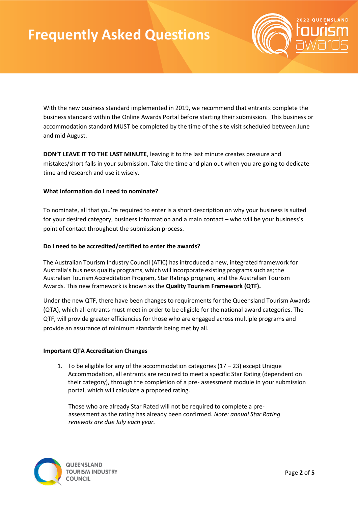

With the new business standard implemented in 2019, we recommend that entrants complete the business standard within the Online Awards Portal before starting their submission. This business or accommodation standard MUST be completed by the time of the site visit scheduled between June and mid August.

**DON'T LEAVE IT TO THE LAST MINUTE**, leaving it to the last minute creates pressure and mistakes/short falls in your submission. Take the time and plan out when you are going to dedicate time and research and use it wisely.

## **What information do I need to nominate?**

To nominate, all that you're required to enter is a short description on why your business is suited for your desired category, business information and a main contact – who will be your business's point of contact throughout the submission process.

## **Do I need to be accredited/certified to enter the awards?**

The Australian Tourism Industry Council (ATIC) has introduced a new, integrated framework for Australia's business quality programs, which will incorporate existing programs such as; the Australian Tourism Accreditation Program, Star Ratings program, and the Australian Tourism Awards. This new framework is known as the **Quality Tourism Framework (QTF).**

Under the new QTF, there have been changes to requirements for the Queensland Tourism Awards (QTA), which all entrants must meet in order to be eligible for the national award categories. The QTF, will provide greater efficiencies for those who are engaged across multiple programs and provide an assurance of minimum standards being met by all.

## **Important QTA Accreditation Changes**

1. To be eligible for any of the accommodation categories  $(17 - 23)$  except Unique Accommodation, all entrants are required to meet a specific Star Rating (dependent on their category), through the completion of a pre- assessment module in your submission portal, which will calculate a proposed rating.

Those who are already Star Rated will not be required to complete a preassessment as the rating has already been confirmed. *Note: annual Star Rating renewals are due July each year.*

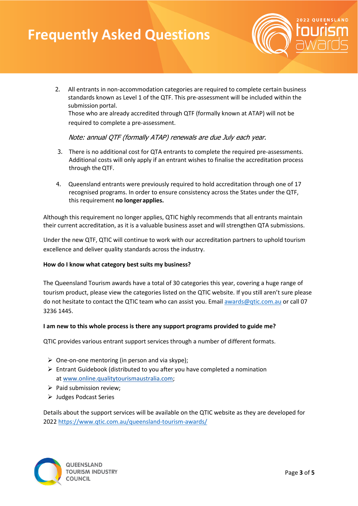

2. All entrants in non-accommodation categories are required to complete certain business standards known as Level 1 of the QTF. This pre-assessment will be included within the submission portal.

Those who are already accredited through QTF (formally known at ATAP) will not be required to complete a pre-assessment.

Note: annual QTF (formally ATAP) renewals are due July each year.

- 3. There is no additional cost for QTA entrants to complete the required pre-assessments. Additional costs will only apply if an entrant wishes to finalise the accreditation process through theQTF.
- 4. Queensland entrants were previously required to hold accreditation through one of 17 recognised programs. In order to ensure consistency across the States under the QTF, this requirement **no longerapplies.**

Although this requirement no longer applies, QTIC highly recommends that all entrants maintain their current accreditation, as it is a valuable business asset and will strengthen QTA submissions.

Under the new QTF, QTIC will continue to work with our accreditation partners to uphold tourism excellence and deliver quality standards across the industry.

## **How do I know what category best suits my business?**

The Queensland Tourism awards have a total of 30 categories this year, covering a huge range of tourism product, please view the categories listed on the QTIC website. If you still aren't sure please do not hesitate to contact the QTIC team who can assist you. Emai[l awards@qtic.com.au](mailto:awards@qtic.com.au) or call 07 3236 1445.

## **I am new to this whole process is there any support programs provided to guide me?**

QTIC provides various entrant support services through a number of different formats.

- $\triangleright$  One-on-one mentoring (in person and via skype);
- $\triangleright$  Entrant Guidebook (distributed to you after you have completed a nomination at [www.online.qualitytourismaustralia.com;](https://online.qualitytourismaustralia.com/)
- ➢ Paid submission review;
- ➢ Judges Podcast Series

Details about the support services will be available on the QTIC website as they are developed for 2022 <https://www.qtic.com.au/queensland-tourism-awards/>

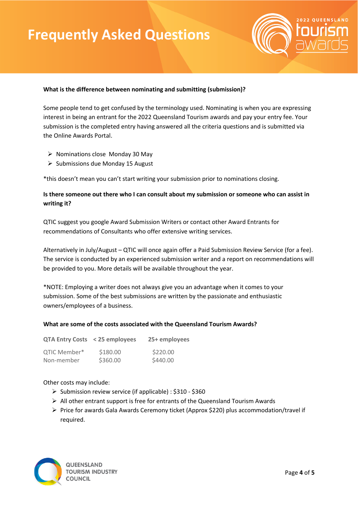

## **What is the difference between nominating and submitting (submission)?**

Some people tend to get confused by the terminology used. Nominating is when you are expressing interest in being an entrant for the 2022 Queensland Tourism awards and pay your entry fee. Your submission is the completed entry having answered all the criteria questions and is submitted via the Online Awards Portal.

- ➢ Nominations close Monday 30 May
- ➢ Submissions due Monday 15 August

\*this doesn't mean you can't start writing your submission prior to nominations closing.

## **Is there someone out there who I can consult about my submission or someone who can assist in writing it?**

QTIC suggest you google Award Submission Writers or contact other Award Entrants for recommendations of Consultants who offer extensive writing services.

Alternatively in July/August – QTIC will once again offer a Paid Submission Review Service (for a fee). The service is conducted by an experienced submission writer and a report on recommendations will be provided to you. More details will be available throughout the year.

\*NOTE: Employing a writer does not always give you an advantage when it comes to your submission. Some of the best submissions are written by the passionate and enthusiastic owners/employees of a business.

## **What are some of the costs associated with the Queensland Tourism Awards?**

| QTA Entry Costs < 25 employees |          | 25+ employees |
|--------------------------------|----------|---------------|
| QTIC Member*                   | \$180.00 | \$220.00      |
| Non-member                     | \$360.00 | \$440.00      |

## Other costs may include:

- ➢ Submission review service (if applicable) : \$310 \$360
- $\triangleright$  All other entrant support is free for entrants of the Queensland Tourism Awards
- ➢ Price for awards Gala Awards Ceremony ticket (Approx \$220) plus accommodation/travel if required.